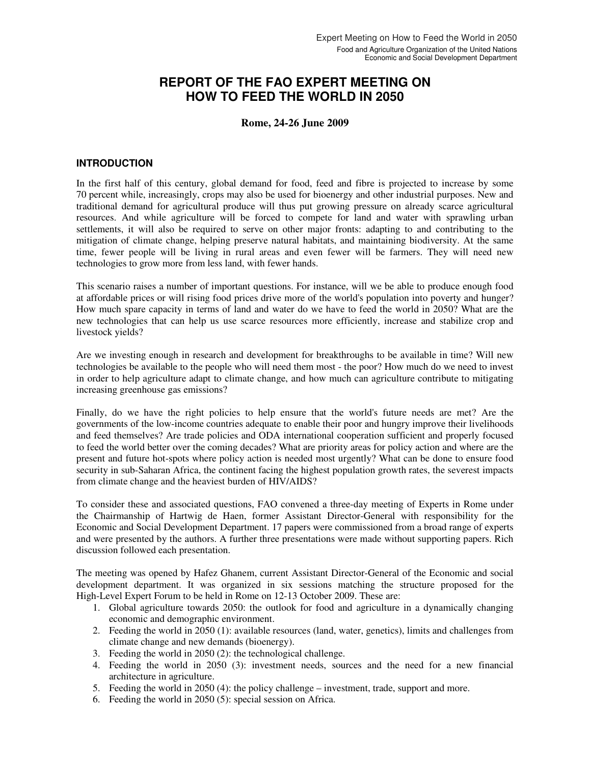# **REPORT OF THE FAO EXPERT MEETING ON HOW TO FEED THE WORLD IN 2050**

### **Rome, 24-26 June 2009**

### **INTRODUCTION**

In the first half of this century, global demand for food, feed and fibre is projected to increase by some 70 percent while, increasingly, crops may also be used for bioenergy and other industrial purposes. New and traditional demand for agricultural produce will thus put growing pressure on already scarce agricultural resources. And while agriculture will be forced to compete for land and water with sprawling urban settlements, it will also be required to serve on other major fronts: adapting to and contributing to the mitigation of climate change, helping preserve natural habitats, and maintaining biodiversity. At the same time, fewer people will be living in rural areas and even fewer will be farmers. They will need new technologies to grow more from less land, with fewer hands.

This scenario raises a number of important questions. For instance, will we be able to produce enough food at affordable prices or will rising food prices drive more of the world's population into poverty and hunger? How much spare capacity in terms of land and water do we have to feed the world in 2050? What are the new technologies that can help us use scarce resources more efficiently, increase and stabilize crop and livestock yields?

Are we investing enough in research and development for breakthroughs to be available in time? Will new technologies be available to the people who will need them most - the poor? How much do we need to invest in order to help agriculture adapt to climate change, and how much can agriculture contribute to mitigating increasing greenhouse gas emissions?

Finally, do we have the right policies to help ensure that the world's future needs are met? Are the governments of the low-income countries adequate to enable their poor and hungry improve their livelihoods and feed themselves? Are trade policies and ODA international cooperation sufficient and properly focused to feed the world better over the coming decades? What are priority areas for policy action and where are the present and future hot-spots where policy action is needed most urgently? What can be done to ensure food security in sub-Saharan Africa, the continent facing the highest population growth rates, the severest impacts from climate change and the heaviest burden of HIV/AIDS?

To consider these and associated questions, FAO convened a three-day meeting of Experts in Rome under the Chairmanship of Hartwig de Haen, former Assistant Director-General with responsibility for the Economic and Social Development Department. 17 papers were commissioned from a broad range of experts and were presented by the authors. A further three presentations were made without supporting papers. Rich discussion followed each presentation.

The meeting was opened by Hafez Ghanem, current Assistant Director-General of the Economic and social development department. It was organized in six sessions matching the structure proposed for the High-Level Expert Forum to be held in Rome on 12-13 October 2009. These are:

- 1. Global agriculture towards 2050: the outlook for food and agriculture in a dynamically changing economic and demographic environment.
- 2. Feeding the world in 2050 (1): available resources (land, water, genetics), limits and challenges from climate change and new demands (bioenergy).
- 3. Feeding the world in 2050 (2): the technological challenge.
- 4. Feeding the world in 2050 (3): investment needs, sources and the need for a new financial architecture in agriculture.
- 5. Feeding the world in 2050 (4): the policy challenge investment, trade, support and more.
- 6. Feeding the world in 2050 (5): special session on Africa.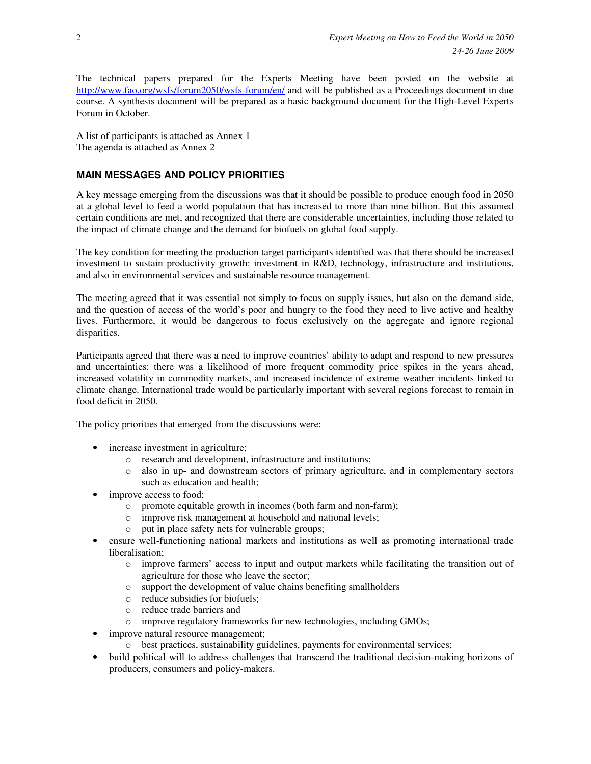The technical papers prepared for the Experts Meeting have been posted on the website at http://www.fao.org/wsfs/forum2050/wsfs-forum/en/ and will be published as a Proceedings document in due course. A synthesis document will be prepared as a basic background document for the High-Level Experts Forum in October.

A list of participants is attached as Annex 1 The agenda is attached as Annex 2

## **MAIN MESSAGES AND POLICY PRIORITIES**

A key message emerging from the discussions was that it should be possible to produce enough food in 2050 at a global level to feed a world population that has increased to more than nine billion. But this assumed certain conditions are met, and recognized that there are considerable uncertainties, including those related to the impact of climate change and the demand for biofuels on global food supply.

The key condition for meeting the production target participants identified was that there should be increased investment to sustain productivity growth: investment in R&D, technology, infrastructure and institutions, and also in environmental services and sustainable resource management.

The meeting agreed that it was essential not simply to focus on supply issues, but also on the demand side, and the question of access of the world's poor and hungry to the food they need to live active and healthy lives. Furthermore, it would be dangerous to focus exclusively on the aggregate and ignore regional disparities.

Participants agreed that there was a need to improve countries' ability to adapt and respond to new pressures and uncertainties: there was a likelihood of more frequent commodity price spikes in the years ahead, increased volatility in commodity markets, and increased incidence of extreme weather incidents linked to climate change. International trade would be particularly important with several regions forecast to remain in food deficit in 2050.

The policy priorities that emerged from the discussions were:

- increase investment in agriculture;
	- o research and development, infrastructure and institutions;
	- o also in up- and downstream sectors of primary agriculture, and in complementary sectors such as education and health;
- improve access to food;
	- o promote equitable growth in incomes (both farm and non-farm);
	- o improve risk management at household and national levels;
	- put in place safety nets for vulnerable groups;
- ensure well-functioning national markets and institutions as well as promoting international trade liberalisation;
	- o improve farmers' access to input and output markets while facilitating the transition out of agriculture for those who leave the sector;
	- o support the development of value chains benefiting smallholders
	- o reduce subsidies for biofuels;
	- o reduce trade barriers and
	- o improve regulatory frameworks for new technologies, including GMOs;
	- improve natural resource management;
		- o best practices, sustainability guidelines, payments for environmental services;
- build political will to address challenges that transcend the traditional decision-making horizons of producers, consumers and policy-makers.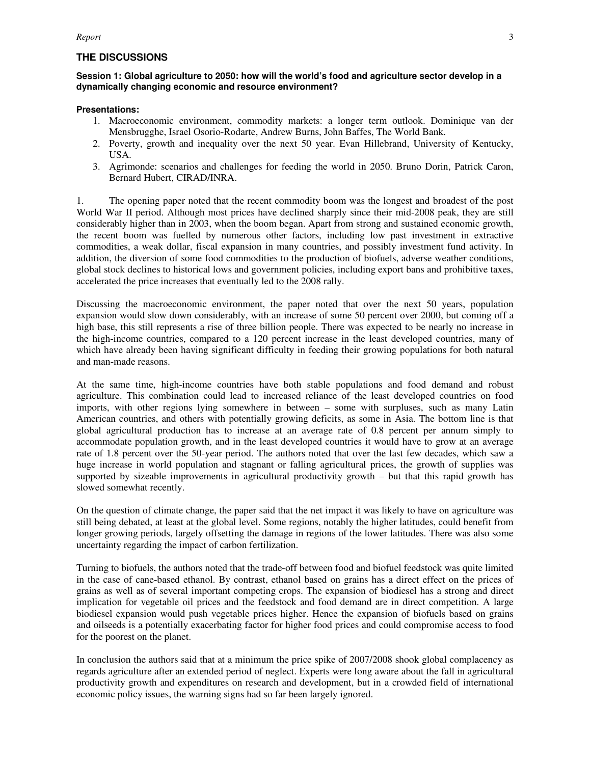### **THE DISCUSSIONS**

#### **Session 1: Global agriculture to 2050: how will the world's food and agriculture sector develop in a dynamically changing economic and resource environment?**

#### **Presentations:**

- 1. Macroeconomic environment, commodity markets: a longer term outlook. Dominique van der Mensbrugghe, Israel Osorio-Rodarte, Andrew Burns, John Baffes, The World Bank.
- 2. Poverty, growth and inequality over the next 50 year. Evan Hillebrand, University of Kentucky, USA.
- 3. Agrimonde: scenarios and challenges for feeding the world in 2050. Bruno Dorin, Patrick Caron, Bernard Hubert, CIRAD/INRA.

1. The opening paper noted that the recent commodity boom was the longest and broadest of the post World War II period. Although most prices have declined sharply since their mid-2008 peak, they are still considerably higher than in 2003, when the boom began. Apart from strong and sustained economic growth, the recent boom was fuelled by numerous other factors, including low past investment in extractive commodities, a weak dollar, fiscal expansion in many countries, and possibly investment fund activity. In addition, the diversion of some food commodities to the production of biofuels, adverse weather conditions, global stock declines to historical lows and government policies, including export bans and prohibitive taxes, accelerated the price increases that eventually led to the 2008 rally.

Discussing the macroeconomic environment, the paper noted that over the next 50 years, population expansion would slow down considerably, with an increase of some 50 percent over 2000, but coming off a high base, this still represents a rise of three billion people. There was expected to be nearly no increase in the high-income countries, compared to a 120 percent increase in the least developed countries, many of which have already been having significant difficulty in feeding their growing populations for both natural and man-made reasons.

At the same time, high-income countries have both stable populations and food demand and robust agriculture. This combination could lead to increased reliance of the least developed countries on food imports, with other regions lying somewhere in between – some with surpluses, such as many Latin American countries, and others with potentially growing deficits, as some in Asia. The bottom line is that global agricultural production has to increase at an average rate of 0.8 percent per annum simply to accommodate population growth, and in the least developed countries it would have to grow at an average rate of 1.8 percent over the 50-year period. The authors noted that over the last few decades, which saw a huge increase in world population and stagnant or falling agricultural prices, the growth of supplies was supported by sizeable improvements in agricultural productivity growth – but that this rapid growth has slowed somewhat recently.

On the question of climate change, the paper said that the net impact it was likely to have on agriculture was still being debated, at least at the global level. Some regions, notably the higher latitudes, could benefit from longer growing periods, largely offsetting the damage in regions of the lower latitudes. There was also some uncertainty regarding the impact of carbon fertilization.

Turning to biofuels, the authors noted that the trade-off between food and biofuel feedstock was quite limited in the case of cane-based ethanol. By contrast, ethanol based on grains has a direct effect on the prices of grains as well as of several important competing crops. The expansion of biodiesel has a strong and direct implication for vegetable oil prices and the feedstock and food demand are in direct competition. A large biodiesel expansion would push vegetable prices higher. Hence the expansion of biofuels based on grains and oilseeds is a potentially exacerbating factor for higher food prices and could compromise access to food for the poorest on the planet.

In conclusion the authors said that at a minimum the price spike of 2007/2008 shook global complacency as regards agriculture after an extended period of neglect. Experts were long aware about the fall in agricultural productivity growth and expenditures on research and development, but in a crowded field of international economic policy issues, the warning signs had so far been largely ignored.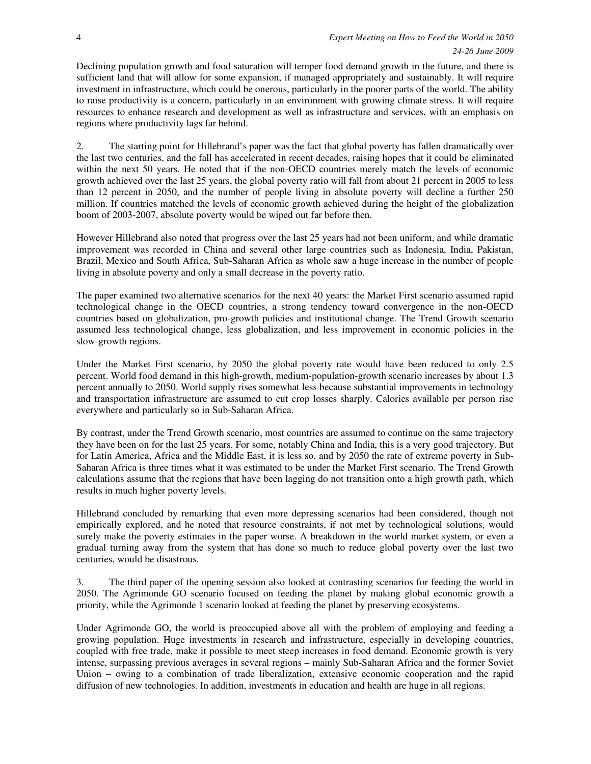Declining population growth and food saturation will temper food demand growth in the future, and there is sufficient land that will allow for some expansion, if managed appropriately and sustainably. It will require investment in infrastructure, which could be onerous, particularly in the poorer parts of the world. The ability to raise productivity is a concern, particularly in an environment with growing climate stress. It will require resources to enhance research and development as well as infrastructure and services, with an emphasis on regions where productivity lags far behind.

2. The starting point for Hillebrand's paper was the fact that global poverty has fallen dramatically over the last two centuries, and the fall has accelerated in recent decades, raising hopes that it could be eliminated within the next 50 years. He noted that if the non-OECD countries merely match the levels of economic growth achieved over the last 25 years, the global poverty ratio will fall from about 21 percent in 2005 to less than 12 percent in 2050, and the number of people living in absolute poverty will decline a further 250 million. If countries matched the levels of economic growth achieved during the height of the globalization boom of 2003-2007, absolute poverty would be wiped out far before then.

However Hillebrand also noted that progress over the last 25 years had not been uniform, and while dramatic improvement was recorded in China and several other large countries such as Indonesia, India, Pakistan, Brazil, Mexico and South Africa, Sub-Saharan Africa as whole saw a huge increase in the number of people living in absolute poverty and only a small decrease in the poverty ratio.

The paper examined two alternative scenarios for the next 40 years: the Market First scenario assumed rapid technological change in the OECD countries, a strong tendency toward convergence in the non-OECD countries based on globalization, pro-growth policies and institutional change. The Trend Growth scenario assumed less technological change, less globalization, and less improvement in economic policies in the slow-growth regions.

Under the Market First scenario, by 2050 the global poverty rate would have been reduced to only 2.5 percent. World food demand in this high-growth, medium-population-growth scenario increases by about 1.3 percent annually to 2050. World supply rises somewhat less because substantial improvements in technology and transportation infrastructure are assumed to cut crop losses sharply. Calories available per person rise everywhere and particularly so in Sub-Saharan Africa.

By contrast, under the Trend Growth scenario, most countries are assumed to continue on the same trajectory they have been on for the last 25 years. For some, notably China and India, this is a very good trajectory. But for Latin America, Africa and the Middle East, it is less so, and by 2050 the rate of extreme poverty in Sub-Saharan Africa is three times what it was estimated to be under the Market First scenario. The Trend Growth calculations assume that the regions that have been lagging do not transition onto a high growth path, which results in much higher poverty levels.

Hillebrand concluded by remarking that even more depressing scenarios had been considered, though not empirically explored, and he noted that resource constraints, if not met by technological solutions, would surely make the poverty estimates in the paper worse. A breakdown in the world market system, or even a gradual turning away from the system that has done so much to reduce global poverty over the last two centuries, would be disastrous.

3. The third paper of the opening session also looked at contrasting scenarios for feeding the world in 2050. The Agrimonde GO scenario focused on feeding the planet by making global economic growth a priority, while the Agrimonde 1 scenario looked at feeding the planet by preserving ecosystems.

Under Agrimonde GO, the world is preoccupied above all with the problem of employing and feeding a growing population. Huge investments in research and infrastructure, especially in developing countries, coupled with free trade, make it possible to meet steep increases in food demand. Economic growth is very intense, surpassing previous averages in several regions – mainly Sub-Saharan Africa and the former Soviet Union – owing to a combination of trade liberalization, extensive economic cooperation and the rapid diffusion of new technologies. In addition, investments in education and health are huge in all regions.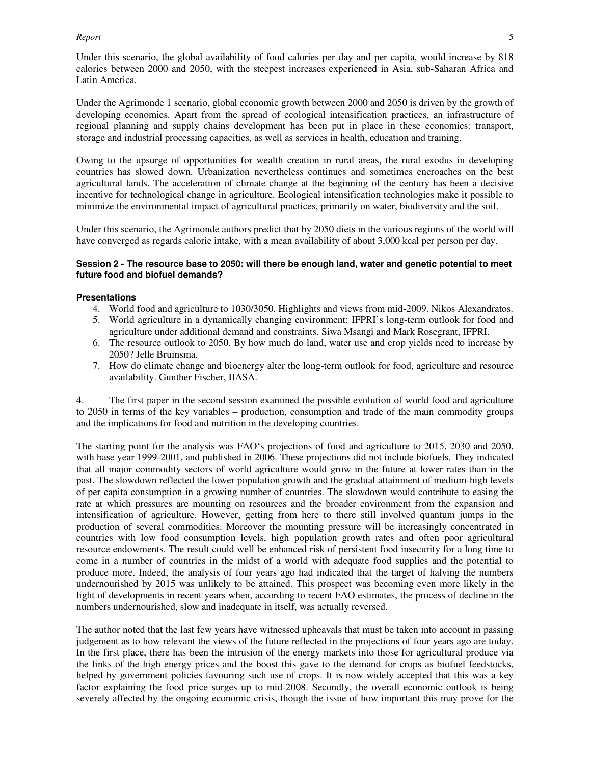#### *Report* 5

Under this scenario, the global availability of food calories per day and per capita, would increase by 818 calories between 2000 and 2050, with the steepest increases experienced in Asia, sub-Saharan Africa and Latin America.

Under the Agrimonde 1 scenario, global economic growth between 2000 and 2050 is driven by the growth of developing economies. Apart from the spread of ecological intensification practices, an infrastructure of regional planning and supply chains development has been put in place in these economies: transport, storage and industrial processing capacities, as well as services in health, education and training.

Owing to the upsurge of opportunities for wealth creation in rural areas, the rural exodus in developing countries has slowed down. Urbanization nevertheless continues and sometimes encroaches on the best agricultural lands. The acceleration of climate change at the beginning of the century has been a decisive incentive for technological change in agriculture. Ecological intensification technologies make it possible to minimize the environmental impact of agricultural practices, primarily on water, biodiversity and the soil.

Under this scenario, the Agrimonde authors predict that by 2050 diets in the various regions of the world will have converged as regards calorie intake, with a mean availability of about 3,000 kcal per person per day.

#### **Session 2 - The resource base to 2050: will there be enough land, water and genetic potential to meet future food and biofuel demands?**

#### **Presentations**

- 4. World food and agriculture to 1030/3050. Highlights and views from mid-2009. Nikos Alexandratos.
- 5. World agriculture in a dynamically changing environment: IFPRI's long-term outlook for food and agriculture under additional demand and constraints. Siwa Msangi and Mark Rosegrant, IFPRI.
- 6. The resource outlook to 2050. By how much do land, water use and crop yields need to increase by 2050? Jelle Bruinsma.
- 7. How do climate change and bioenergy alter the long-term outlook for food, agriculture and resource availability. Gunther Fischer, IIASA.

4. The first paper in the second session examined the possible evolution of world food and agriculture to 2050 in terms of the key variables – production, consumption and trade of the main commodity groups and the implications for food and nutrition in the developing countries.

The starting point for the analysis was FAO's projections of food and agriculture to 2015, 2030 and 2050, with base year 1999-2001, and published in 2006. These projections did not include biofuels. They indicated that all major commodity sectors of world agriculture would grow in the future at lower rates than in the past. The slowdown reflected the lower population growth and the gradual attainment of medium-high levels of per capita consumption in a growing number of countries. The slowdown would contribute to easing the rate at which pressures are mounting on resources and the broader environment from the expansion and intensification of agriculture. However, getting from here to there still involved quantum jumps in the production of several commodities. Moreover the mounting pressure will be increasingly concentrated in countries with low food consumption levels, high population growth rates and often poor agricultural resource endowments. The result could well be enhanced risk of persistent food insecurity for a long time to come in a number of countries in the midst of a world with adequate food supplies and the potential to produce more. Indeed, the analysis of four years ago had indicated that the target of halving the numbers undernourished by 2015 was unlikely to be attained. This prospect was becoming even more likely in the light of developments in recent years when, according to recent FAO estimates, the process of decline in the numbers undernourished, slow and inadequate in itself, was actually reversed.

The author noted that the last few years have witnessed upheavals that must be taken into account in passing judgement as to how relevant the views of the future reflected in the projections of four years ago are today. In the first place, there has been the intrusion of the energy markets into those for agricultural produce via the links of the high energy prices and the boost this gave to the demand for crops as biofuel feedstocks, helped by government policies favouring such use of crops. It is now widely accepted that this was a key factor explaining the food price surges up to mid-2008. Secondly, the overall economic outlook is being severely affected by the ongoing economic crisis, though the issue of how important this may prove for the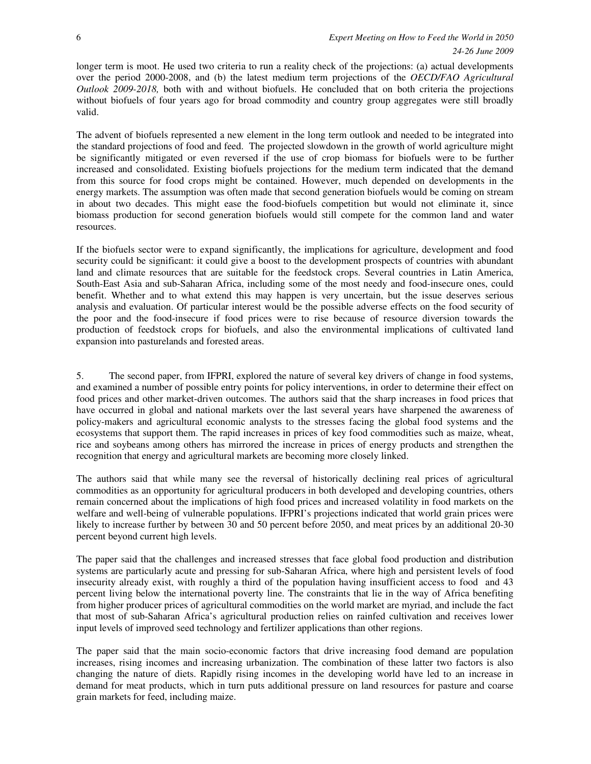longer term is moot. He used two criteria to run a reality check of the projections: (a) actual developments over the period 2000-2008, and (b) the latest medium term projections of the *OECD/FAO Agricultural Outlook 2009-2018,* both with and without biofuels. He concluded that on both criteria the projections without biofuels of four years ago for broad commodity and country group aggregates were still broadly valid.

The advent of biofuels represented a new element in the long term outlook and needed to be integrated into the standard projections of food and feed. The projected slowdown in the growth of world agriculture might be significantly mitigated or even reversed if the use of crop biomass for biofuels were to be further increased and consolidated. Existing biofuels projections for the medium term indicated that the demand from this source for food crops might be contained. However, much depended on developments in the energy markets. The assumption was often made that second generation biofuels would be coming on stream in about two decades. This might ease the food-biofuels competition but would not eliminate it, since biomass production for second generation biofuels would still compete for the common land and water resources.

If the biofuels sector were to expand significantly, the implications for agriculture, development and food security could be significant: it could give a boost to the development prospects of countries with abundant land and climate resources that are suitable for the feedstock crops. Several countries in Latin America, South-East Asia and sub-Saharan Africa, including some of the most needy and food-insecure ones, could benefit. Whether and to what extend this may happen is very uncertain, but the issue deserves serious analysis and evaluation. Of particular interest would be the possible adverse effects on the food security of the poor and the food-insecure if food prices were to rise because of resource diversion towards the production of feedstock crops for biofuels, and also the environmental implications of cultivated land expansion into pasturelands and forested areas.

5. The second paper, from IFPRI, explored the nature of several key drivers of change in food systems, and examined a number of possible entry points for policy interventions, in order to determine their effect on food prices and other market-driven outcomes. The authors said that the sharp increases in food prices that have occurred in global and national markets over the last several years have sharpened the awareness of policy-makers and agricultural economic analysts to the stresses facing the global food systems and the ecosystems that support them. The rapid increases in prices of key food commodities such as maize, wheat, rice and soybeans among others has mirrored the increase in prices of energy products and strengthen the recognition that energy and agricultural markets are becoming more closely linked.

The authors said that while many see the reversal of historically declining real prices of agricultural commodities as an opportunity for agricultural producers in both developed and developing countries, others remain concerned about the implications of high food prices and increased volatility in food markets on the welfare and well-being of vulnerable populations. IFPRI's projections indicated that world grain prices were likely to increase further by between 30 and 50 percent before 2050, and meat prices by an additional 20-30 percent beyond current high levels.

The paper said that the challenges and increased stresses that face global food production and distribution systems are particularly acute and pressing for sub-Saharan Africa, where high and persistent levels of food insecurity already exist, with roughly a third of the population having insufficient access to food and 43 percent living below the international poverty line. The constraints that lie in the way of Africa benefiting from higher producer prices of agricultural commodities on the world market are myriad, and include the fact that most of sub-Saharan Africa's agricultural production relies on rainfed cultivation and receives lower input levels of improved seed technology and fertilizer applications than other regions.

The paper said that the main socio-economic factors that drive increasing food demand are population increases, rising incomes and increasing urbanization. The combination of these latter two factors is also changing the nature of diets. Rapidly rising incomes in the developing world have led to an increase in demand for meat products, which in turn puts additional pressure on land resources for pasture and coarse grain markets for feed, including maize.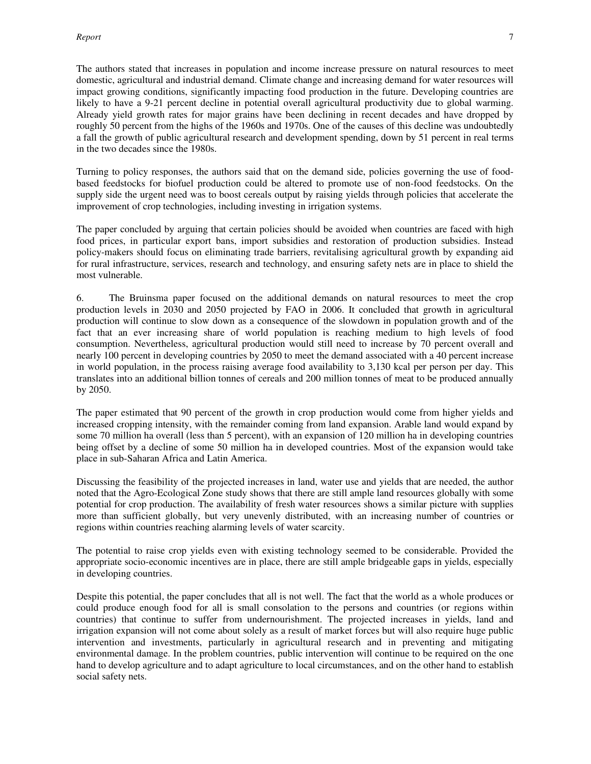The authors stated that increases in population and income increase pressure on natural resources to meet domestic, agricultural and industrial demand. Climate change and increasing demand for water resources will impact growing conditions, significantly impacting food production in the future. Developing countries are likely to have a 9-21 percent decline in potential overall agricultural productivity due to global warming. Already yield growth rates for major grains have been declining in recent decades and have dropped by roughly 50 percent from the highs of the 1960s and 1970s. One of the causes of this decline was undoubtedly a fall the growth of public agricultural research and development spending, down by 51 percent in real terms in the two decades since the 1980s.

Turning to policy responses, the authors said that on the demand side, policies governing the use of foodbased feedstocks for biofuel production could be altered to promote use of non-food feedstocks. On the supply side the urgent need was to boost cereals output by raising yields through policies that accelerate the improvement of crop technologies, including investing in irrigation systems.

The paper concluded by arguing that certain policies should be avoided when countries are faced with high food prices, in particular export bans, import subsidies and restoration of production subsidies. Instead policy-makers should focus on eliminating trade barriers, revitalising agricultural growth by expanding aid for rural infrastructure, services, research and technology, and ensuring safety nets are in place to shield the most vulnerable.

6. The Bruinsma paper focused on the additional demands on natural resources to meet the crop production levels in 2030 and 2050 projected by FAO in 2006. It concluded that growth in agricultural production will continue to slow down as a consequence of the slowdown in population growth and of the fact that an ever increasing share of world population is reaching medium to high levels of food consumption. Nevertheless, agricultural production would still need to increase by 70 percent overall and nearly 100 percent in developing countries by 2050 to meet the demand associated with a 40 percent increase in world population, in the process raising average food availability to 3,130 kcal per person per day. This translates into an additional billion tonnes of cereals and 200 million tonnes of meat to be produced annually by 2050.

The paper estimated that 90 percent of the growth in crop production would come from higher yields and increased cropping intensity, with the remainder coming from land expansion. Arable land would expand by some 70 million ha overall (less than 5 percent), with an expansion of 120 million ha in developing countries being offset by a decline of some 50 million ha in developed countries. Most of the expansion would take place in sub-Saharan Africa and Latin America.

Discussing the feasibility of the projected increases in land, water use and yields that are needed, the author noted that the Agro-Ecological Zone study shows that there are still ample land resources globally with some potential for crop production. The availability of fresh water resources shows a similar picture with supplies more than sufficient globally, but very unevenly distributed, with an increasing number of countries or regions within countries reaching alarming levels of water scarcity.

The potential to raise crop yields even with existing technology seemed to be considerable. Provided the appropriate socio-economic incentives are in place, there are still ample bridgeable gaps in yields, especially in developing countries.

Despite this potential, the paper concludes that all is not well. The fact that the world as a whole produces or could produce enough food for all is small consolation to the persons and countries (or regions within countries) that continue to suffer from undernourishment. The projected increases in yields, land and irrigation expansion will not come about solely as a result of market forces but will also require huge public intervention and investments, particularly in agricultural research and in preventing and mitigating environmental damage. In the problem countries, public intervention will continue to be required on the one hand to develop agriculture and to adapt agriculture to local circumstances, and on the other hand to establish social safety nets.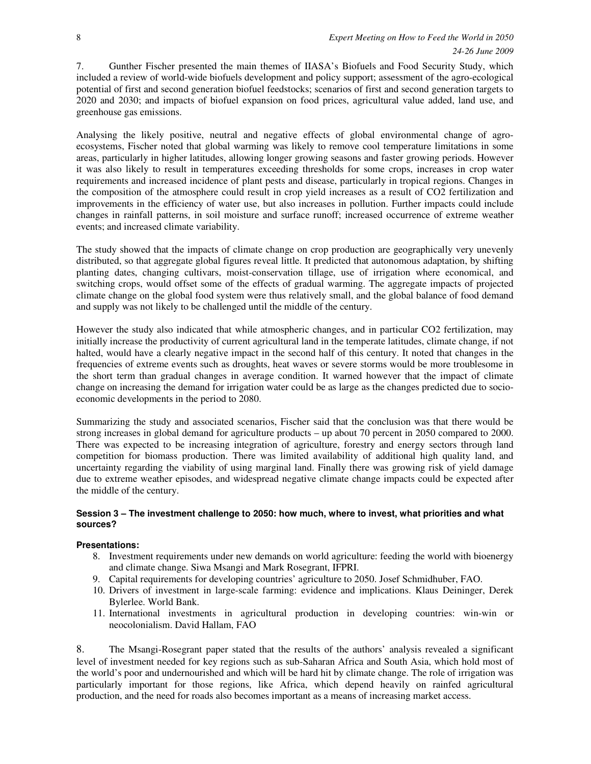7. Gunther Fischer presented the main themes of IIASA's Biofuels and Food Security Study, which included a review of world-wide biofuels development and policy support; assessment of the agro-ecological potential of first and second generation biofuel feedstocks; scenarios of first and second generation targets to 2020 and 2030; and impacts of biofuel expansion on food prices, agricultural value added, land use, and greenhouse gas emissions.

Analysing the likely positive, neutral and negative effects of global environmental change of agroecosystems, Fischer noted that global warming was likely to remove cool temperature limitations in some areas, particularly in higher latitudes, allowing longer growing seasons and faster growing periods. However it was also likely to result in temperatures exceeding thresholds for some crops, increases in crop water requirements and increased incidence of plant pests and disease, particularly in tropical regions. Changes in the composition of the atmosphere could result in crop yield increases as a result of CO2 fertilization and improvements in the efficiency of water use, but also increases in pollution. Further impacts could include changes in rainfall patterns, in soil moisture and surface runoff; increased occurrence of extreme weather events; and increased climate variability.

The study showed that the impacts of climate change on crop production are geographically very unevenly distributed, so that aggregate global figures reveal little. It predicted that autonomous adaptation, by shifting planting dates, changing cultivars, moist-conservation tillage, use of irrigation where economical, and switching crops, would offset some of the effects of gradual warming. The aggregate impacts of projected climate change on the global food system were thus relatively small, and the global balance of food demand and supply was not likely to be challenged until the middle of the century.

However the study also indicated that while atmospheric changes, and in particular CO2 fertilization, may initially increase the productivity of current agricultural land in the temperate latitudes, climate change, if not halted, would have a clearly negative impact in the second half of this century. It noted that changes in the frequencies of extreme events such as droughts, heat waves or severe storms would be more troublesome in the short term than gradual changes in average condition. It warned however that the impact of climate change on increasing the demand for irrigation water could be as large as the changes predicted due to socioeconomic developments in the period to 2080.

Summarizing the study and associated scenarios, Fischer said that the conclusion was that there would be strong increases in global demand for agriculture products – up about 70 percent in 2050 compared to 2000. There was expected to be increasing integration of agriculture, forestry and energy sectors through land competition for biomass production. There was limited availability of additional high quality land, and uncertainty regarding the viability of using marginal land. Finally there was growing risk of yield damage due to extreme weather episodes, and widespread negative climate change impacts could be expected after the middle of the century.

#### **Session 3 – The investment challenge to 2050: how much, where to invest, what priorities and what sources?**

### **Presentations:**

- 8. Investment requirements under new demands on world agriculture: feeding the world with bioenergy and climate change. Siwa Msangi and Mark Rosegrant, IFPRI.
- 9. Capital requirements for developing countries' agriculture to 2050. Josef Schmidhuber, FAO.
- 10. Drivers of investment in large-scale farming: evidence and implications. Klaus Deininger, Derek Bylerlee. World Bank.
- 11. International investments in agricultural production in developing countries: win-win or neocolonialism. David Hallam, FAO

8. The Msangi-Rosegrant paper stated that the results of the authors' analysis revealed a significant level of investment needed for key regions such as sub-Saharan Africa and South Asia, which hold most of the world's poor and undernourished and which will be hard hit by climate change. The role of irrigation was particularly important for those regions, like Africa, which depend heavily on rainfed agricultural production, and the need for roads also becomes important as a means of increasing market access.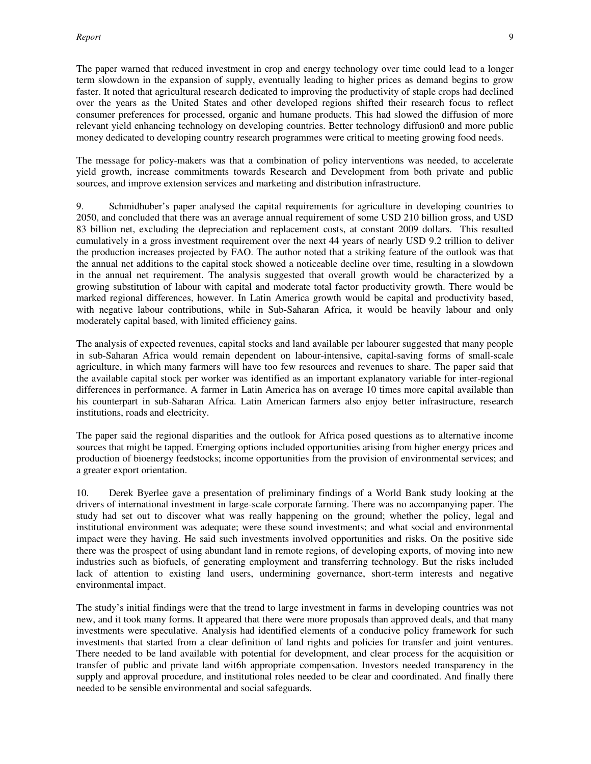The paper warned that reduced investment in crop and energy technology over time could lead to a longer term slowdown in the expansion of supply, eventually leading to higher prices as demand begins to grow faster. It noted that agricultural research dedicated to improving the productivity of staple crops had declined over the years as the United States and other developed regions shifted their research focus to reflect consumer preferences for processed, organic and humane products. This had slowed the diffusion of more relevant yield enhancing technology on developing countries. Better technology diffusion0 and more public money dedicated to developing country research programmes were critical to meeting growing food needs.

The message for policy-makers was that a combination of policy interventions was needed, to accelerate yield growth, increase commitments towards Research and Development from both private and public sources, and improve extension services and marketing and distribution infrastructure.

9. Schmidhuber's paper analysed the capital requirements for agriculture in developing countries to 2050, and concluded that there was an average annual requirement of some USD 210 billion gross, and USD 83 billion net, excluding the depreciation and replacement costs, at constant 2009 dollars. This resulted cumulatively in a gross investment requirement over the next 44 years of nearly USD 9.2 trillion to deliver the production increases projected by FAO. The author noted that a striking feature of the outlook was that the annual net additions to the capital stock showed a noticeable decline over time, resulting in a slowdown in the annual net requirement. The analysis suggested that overall growth would be characterized by a growing substitution of labour with capital and moderate total factor productivity growth. There would be marked regional differences, however. In Latin America growth would be capital and productivity based, with negative labour contributions, while in Sub-Saharan Africa, it would be heavily labour and only moderately capital based, with limited efficiency gains.

The analysis of expected revenues, capital stocks and land available per labourer suggested that many people in sub-Saharan Africa would remain dependent on labour-intensive, capital-saving forms of small-scale agriculture, in which many farmers will have too few resources and revenues to share. The paper said that the available capital stock per worker was identified as an important explanatory variable for inter-regional differences in performance. A farmer in Latin America has on average 10 times more capital available than his counterpart in sub-Saharan Africa. Latin American farmers also enjoy better infrastructure, research institutions, roads and electricity.

The paper said the regional disparities and the outlook for Africa posed questions as to alternative income sources that might be tapped. Emerging options included opportunities arising from higher energy prices and production of bioenergy feedstocks; income opportunities from the provision of environmental services; and a greater export orientation.

10. Derek Byerlee gave a presentation of preliminary findings of a World Bank study looking at the drivers of international investment in large-scale corporate farming. There was no accompanying paper. The study had set out to discover what was really happening on the ground; whether the policy, legal and institutional environment was adequate; were these sound investments; and what social and environmental impact were they having. He said such investments involved opportunities and risks. On the positive side there was the prospect of using abundant land in remote regions, of developing exports, of moving into new industries such as biofuels, of generating employment and transferring technology. But the risks included lack of attention to existing land users, undermining governance, short-term interests and negative environmental impact.

The study's initial findings were that the trend to large investment in farms in developing countries was not new, and it took many forms. It appeared that there were more proposals than approved deals, and that many investments were speculative. Analysis had identified elements of a conducive policy framework for such investments that started from a clear definition of land rights and policies for transfer and joint ventures. There needed to be land available with potential for development, and clear process for the acquisition or transfer of public and private land wit6h appropriate compensation. Investors needed transparency in the supply and approval procedure, and institutional roles needed to be clear and coordinated. And finally there needed to be sensible environmental and social safeguards.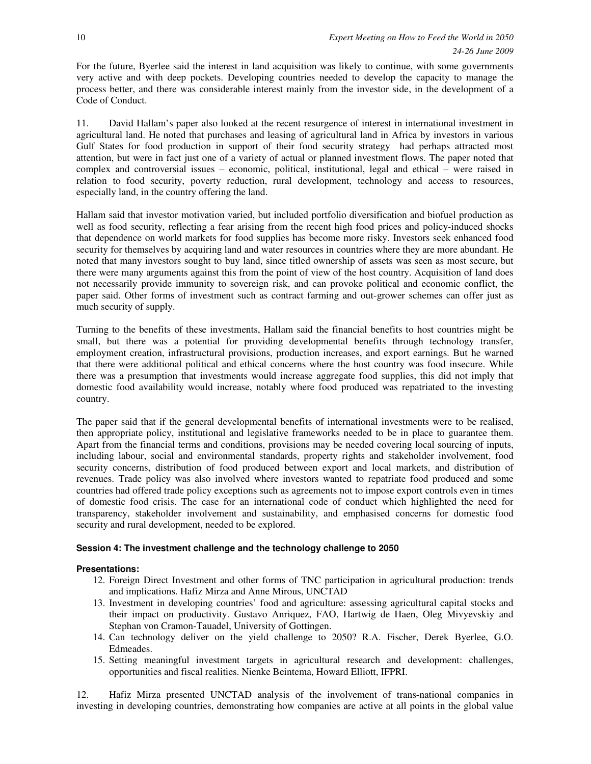For the future, Byerlee said the interest in land acquisition was likely to continue, with some governments very active and with deep pockets. Developing countries needed to develop the capacity to manage the process better, and there was considerable interest mainly from the investor side, in the development of a Code of Conduct.

11. David Hallam's paper also looked at the recent resurgence of interest in international investment in agricultural land. He noted that purchases and leasing of agricultural land in Africa by investors in various Gulf States for food production in support of their food security strategy had perhaps attracted most attention, but were in fact just one of a variety of actual or planned investment flows. The paper noted that complex and controversial issues – economic, political, institutional, legal and ethical – were raised in relation to food security, poverty reduction, rural development, technology and access to resources, especially land, in the country offering the land.

Hallam said that investor motivation varied, but included portfolio diversification and biofuel production as well as food security, reflecting a fear arising from the recent high food prices and policy-induced shocks that dependence on world markets for food supplies has become more risky. Investors seek enhanced food security for themselves by acquiring land and water resources in countries where they are more abundant. He noted that many investors sought to buy land, since titled ownership of assets was seen as most secure, but there were many arguments against this from the point of view of the host country. Acquisition of land does not necessarily provide immunity to sovereign risk, and can provoke political and economic conflict, the paper said. Other forms of investment such as contract farming and out-grower schemes can offer just as much security of supply.

Turning to the benefits of these investments, Hallam said the financial benefits to host countries might be small, but there was a potential for providing developmental benefits through technology transfer, employment creation, infrastructural provisions, production increases, and export earnings. But he warned that there were additional political and ethical concerns where the host country was food insecure. While there was a presumption that investments would increase aggregate food supplies, this did not imply that domestic food availability would increase, notably where food produced was repatriated to the investing country.

The paper said that if the general developmental benefits of international investments were to be realised, then appropriate policy, institutional and legislative frameworks needed to be in place to guarantee them. Apart from the financial terms and conditions, provisions may be needed covering local sourcing of inputs, including labour, social and environmental standards, property rights and stakeholder involvement, food security concerns, distribution of food produced between export and local markets, and distribution of revenues. Trade policy was also involved where investors wanted to repatriate food produced and some countries had offered trade policy exceptions such as agreements not to impose export controls even in times of domestic food crisis. The case for an international code of conduct which highlighted the need for transparency, stakeholder involvement and sustainability, and emphasised concerns for domestic food security and rural development, needed to be explored.

### **Session 4: The investment challenge and the technology challenge to 2050**

### **Presentations:**

- 12. Foreign Direct Investment and other forms of TNC participation in agricultural production: trends and implications. Hafiz Mirza and Anne Mirous, UNCTAD
- 13. Investment in developing countries' food and agriculture: assessing agricultural capital stocks and their impact on productivity. Gustavo Anriquez, FAO, Hartwig de Haen, Oleg Mivyevskiy and Stephan von Cramon-Tauadel, University of Gottingen.
- 14. Can technology deliver on the yield challenge to 2050? R.A. Fischer, Derek Byerlee, G.O. Edmeades.
- 15. Setting meaningful investment targets in agricultural research and development: challenges, opportunities and fiscal realities. Nienke Beintema, Howard Elliott, IFPRI.

12. Hafiz Mirza presented UNCTAD analysis of the involvement of trans-national companies in investing in developing countries, demonstrating how companies are active at all points in the global value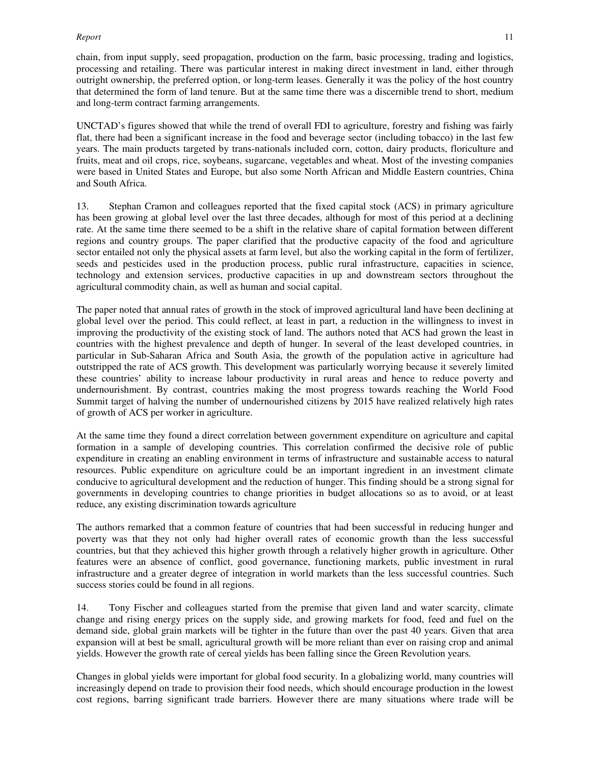#### *Report* 11

chain, from input supply, seed propagation, production on the farm, basic processing, trading and logistics, processing and retailing. There was particular interest in making direct investment in land, either through outright ownership, the preferred option, or long-term leases. Generally it was the policy of the host country that determined the form of land tenure. But at the same time there was a discernible trend to short, medium and long-term contract farming arrangements.

UNCTAD's figures showed that while the trend of overall FDI to agriculture, forestry and fishing was fairly flat, there had been a significant increase in the food and beverage sector (including tobacco) in the last few years. The main products targeted by trans-nationals included corn, cotton, dairy products, floriculture and fruits, meat and oil crops, rice, soybeans, sugarcane, vegetables and wheat. Most of the investing companies were based in United States and Europe, but also some North African and Middle Eastern countries, China and South Africa.

13. Stephan Cramon and colleagues reported that the fixed capital stock (ACS) in primary agriculture has been growing at global level over the last three decades, although for most of this period at a declining rate. At the same time there seemed to be a shift in the relative share of capital formation between different regions and country groups. The paper clarified that the productive capacity of the food and agriculture sector entailed not only the physical assets at farm level, but also the working capital in the form of fertilizer, seeds and pesticides used in the production process, public rural infrastructure, capacities in science, technology and extension services, productive capacities in up and downstream sectors throughout the agricultural commodity chain, as well as human and social capital.

The paper noted that annual rates of growth in the stock of improved agricultural land have been declining at global level over the period. This could reflect, at least in part, a reduction in the willingness to invest in improving the productivity of the existing stock of land. The authors noted that ACS had grown the least in countries with the highest prevalence and depth of hunger. In several of the least developed countries, in particular in Sub-Saharan Africa and South Asia, the growth of the population active in agriculture had outstripped the rate of ACS growth. This development was particularly worrying because it severely limited these countries' ability to increase labour productivity in rural areas and hence to reduce poverty and undernourishment. By contrast, countries making the most progress towards reaching the World Food Summit target of halving the number of undernourished citizens by 2015 have realized relatively high rates of growth of ACS per worker in agriculture.

At the same time they found a direct correlation between government expenditure on agriculture and capital formation in a sample of developing countries. This correlation confirmed the decisive role of public expenditure in creating an enabling environment in terms of infrastructure and sustainable access to natural resources. Public expenditure on agriculture could be an important ingredient in an investment climate conducive to agricultural development and the reduction of hunger. This finding should be a strong signal for governments in developing countries to change priorities in budget allocations so as to avoid, or at least reduce, any existing discrimination towards agriculture

The authors remarked that a common feature of countries that had been successful in reducing hunger and poverty was that they not only had higher overall rates of economic growth than the less successful countries, but that they achieved this higher growth through a relatively higher growth in agriculture. Other features were an absence of conflict, good governance, functioning markets, public investment in rural infrastructure and a greater degree of integration in world markets than the less successful countries. Such success stories could be found in all regions.

14. Tony Fischer and colleagues started from the premise that given land and water scarcity, climate change and rising energy prices on the supply side, and growing markets for food, feed and fuel on the demand side, global grain markets will be tighter in the future than over the past 40 years. Given that area expansion will at best be small, agricultural growth will be more reliant than ever on raising crop and animal yields. However the growth rate of cereal yields has been falling since the Green Revolution years.

Changes in global yields were important for global food security. In a globalizing world, many countries will increasingly depend on trade to provision their food needs, which should encourage production in the lowest cost regions, barring significant trade barriers. However there are many situations where trade will be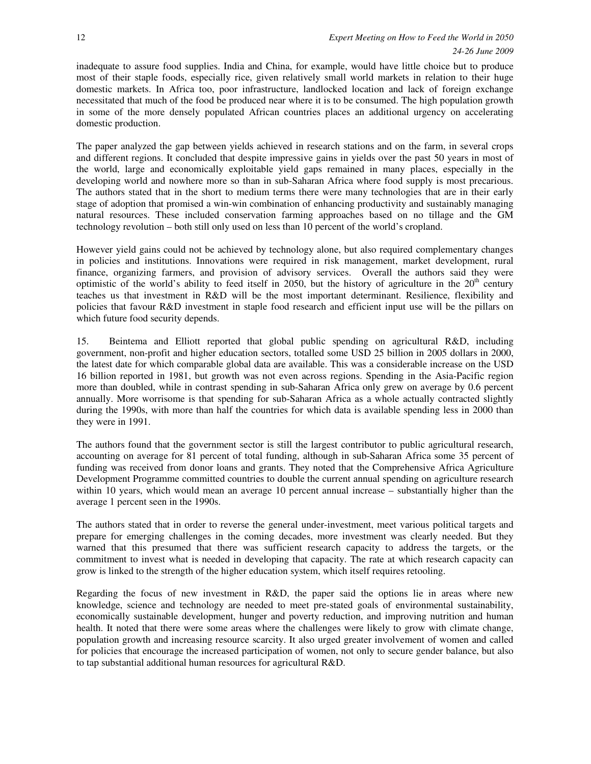inadequate to assure food supplies. India and China, for example, would have little choice but to produce most of their staple foods, especially rice, given relatively small world markets in relation to their huge domestic markets. In Africa too, poor infrastructure, landlocked location and lack of foreign exchange necessitated that much of the food be produced near where it is to be consumed. The high population growth in some of the more densely populated African countries places an additional urgency on accelerating domestic production.

The paper analyzed the gap between yields achieved in research stations and on the farm, in several crops and different regions. It concluded that despite impressive gains in yields over the past 50 years in most of the world, large and economically exploitable yield gaps remained in many places, especially in the developing world and nowhere more so than in sub-Saharan Africa where food supply is most precarious. The authors stated that in the short to medium terms there were many technologies that are in their early stage of adoption that promised a win-win combination of enhancing productivity and sustainably managing natural resources. These included conservation farming approaches based on no tillage and the GM technology revolution – both still only used on less than 10 percent of the world's cropland.

However yield gains could not be achieved by technology alone, but also required complementary changes in policies and institutions. Innovations were required in risk management, market development, rural finance, organizing farmers, and provision of advisory services. Overall the authors said they were optimistic of the world's ability to feed itself in 2050, but the history of agriculture in the  $20<sup>th</sup>$  century teaches us that investment in R&D will be the most important determinant. Resilience, flexibility and policies that favour R&D investment in staple food research and efficient input use will be the pillars on which future food security depends.

15. Beintema and Elliott reported that global public spending on agricultural R&D, including government, non-profit and higher education sectors, totalled some USD 25 billion in 2005 dollars in 2000, the latest date for which comparable global data are available. This was a considerable increase on the USD 16 billion reported in 1981, but growth was not even across regions. Spending in the Asia-Pacific region more than doubled, while in contrast spending in sub-Saharan Africa only grew on average by 0.6 percent annually. More worrisome is that spending for sub-Saharan Africa as a whole actually contracted slightly during the 1990s, with more than half the countries for which data is available spending less in 2000 than they were in 1991.

The authors found that the government sector is still the largest contributor to public agricultural research, accounting on average for 81 percent of total funding, although in sub-Saharan Africa some 35 percent of funding was received from donor loans and grants. They noted that the Comprehensive Africa Agriculture Development Programme committed countries to double the current annual spending on agriculture research within 10 years, which would mean an average 10 percent annual increase – substantially higher than the average 1 percent seen in the 1990s.

The authors stated that in order to reverse the general under-investment, meet various political targets and prepare for emerging challenges in the coming decades, more investment was clearly needed. But they warned that this presumed that there was sufficient research capacity to address the targets, or the commitment to invest what is needed in developing that capacity. The rate at which research capacity can grow is linked to the strength of the higher education system, which itself requires retooling.

Regarding the focus of new investment in R&D, the paper said the options lie in areas where new knowledge, science and technology are needed to meet pre-stated goals of environmental sustainability, economically sustainable development, hunger and poverty reduction, and improving nutrition and human health. It noted that there were some areas where the challenges were likely to grow with climate change, population growth and increasing resource scarcity. It also urged greater involvement of women and called for policies that encourage the increased participation of women, not only to secure gender balance, but also to tap substantial additional human resources for agricultural R&D.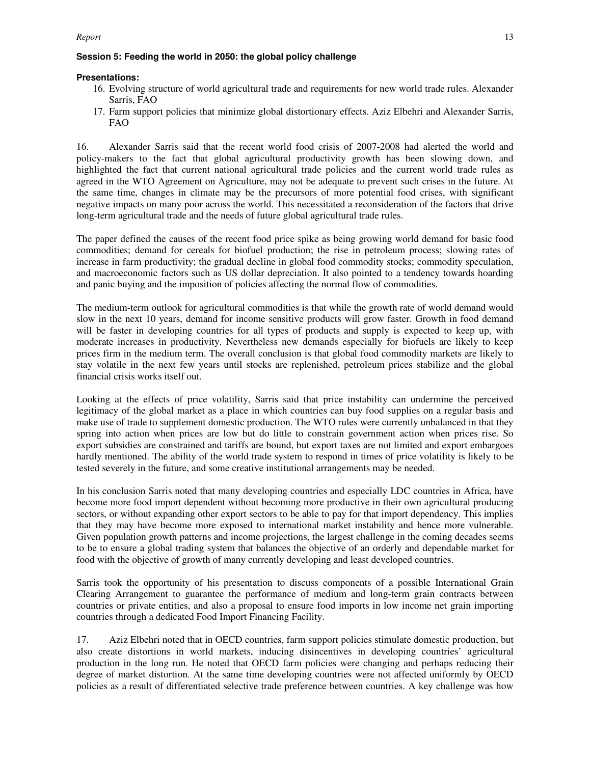#### *Report* 13

#### **Session 5: Feeding the world in 2050: the global policy challenge**

#### **Presentations:**

- 16. Evolving structure of world agricultural trade and requirements for new world trade rules. Alexander Sarris, FAO
- 17. Farm support policies that minimize global distortionary effects. Aziz Elbehri and Alexander Sarris, FAO

16. Alexander Sarris said that the recent world food crisis of 2007-2008 had alerted the world and policy-makers to the fact that global agricultural productivity growth has been slowing down, and highlighted the fact that current national agricultural trade policies and the current world trade rules as agreed in the WTO Agreement on Agriculture, may not be adequate to prevent such crises in the future. At the same time, changes in climate may be the precursors of more potential food crises, with significant negative impacts on many poor across the world. This necessitated a reconsideration of the factors that drive long-term agricultural trade and the needs of future global agricultural trade rules.

The paper defined the causes of the recent food price spike as being growing world demand for basic food commodities; demand for cereals for biofuel production; the rise in petroleum process; slowing rates of increase in farm productivity; the gradual decline in global food commodity stocks; commodity speculation, and macroeconomic factors such as US dollar depreciation. It also pointed to a tendency towards hoarding and panic buying and the imposition of policies affecting the normal flow of commodities.

The medium-term outlook for agricultural commodities is that while the growth rate of world demand would slow in the next 10 years, demand for income sensitive products will grow faster. Growth in food demand will be faster in developing countries for all types of products and supply is expected to keep up, with moderate increases in productivity. Nevertheless new demands especially for biofuels are likely to keep prices firm in the medium term. The overall conclusion is that global food commodity markets are likely to stay volatile in the next few years until stocks are replenished, petroleum prices stabilize and the global financial crisis works itself out.

Looking at the effects of price volatility, Sarris said that price instability can undermine the perceived legitimacy of the global market as a place in which countries can buy food supplies on a regular basis and make use of trade to supplement domestic production. The WTO rules were currently unbalanced in that they spring into action when prices are low but do little to constrain government action when prices rise. So export subsidies are constrained and tariffs are bound, but export taxes are not limited and export embargoes hardly mentioned. The ability of the world trade system to respond in times of price volatility is likely to be tested severely in the future, and some creative institutional arrangements may be needed.

In his conclusion Sarris noted that many developing countries and especially LDC countries in Africa, have become more food import dependent without becoming more productive in their own agricultural producing sectors, or without expanding other export sectors to be able to pay for that import dependency. This implies that they may have become more exposed to international market instability and hence more vulnerable. Given population growth patterns and income projections, the largest challenge in the coming decades seems to be to ensure a global trading system that balances the objective of an orderly and dependable market for food with the objective of growth of many currently developing and least developed countries.

Sarris took the opportunity of his presentation to discuss components of a possible International Grain Clearing Arrangement to guarantee the performance of medium and long-term grain contracts between countries or private entities, and also a proposal to ensure food imports in low income net grain importing countries through a dedicated Food Import Financing Facility.

17. Aziz Elbehri noted that in OECD countries, farm support policies stimulate domestic production, but also create distortions in world markets, inducing disincentives in developing countries' agricultural production in the long run. He noted that OECD farm policies were changing and perhaps reducing their degree of market distortion. At the same time developing countries were not affected uniformly by OECD policies as a result of differentiated selective trade preference between countries. A key challenge was how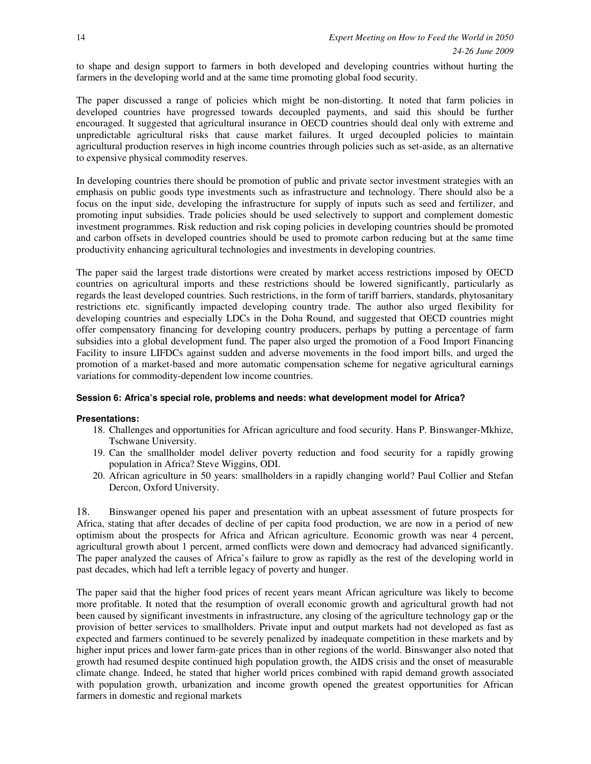to shape and design support to farmers in both developed and developing countries without hurting the farmers in the developing world and at the same time promoting global food security.

The paper discussed a range of policies which might be non-distorting. It noted that farm policies in developed countries have progressed towards decoupled payments, and said this should be further encouraged. It suggested that agricultural insurance in OECD countries should deal only with extreme and unpredictable agricultural risks that cause market failures. It urged decoupled policies to maintain agricultural production reserves in high income countries through policies such as set-aside, as an alternative to expensive physical commodity reserves.

In developing countries there should be promotion of public and private sector investment strategies with an emphasis on public goods type investments such as infrastructure and technology. There should also be a focus on the input side, developing the infrastructure for supply of inputs such as seed and fertilizer, and promoting input subsidies. Trade policies should be used selectively to support and complement domestic investment programmes. Risk reduction and risk coping policies in developing countries should be promoted and carbon offsets in developed countries should be used to promote carbon reducing but at the same time productivity enhancing agricultural technologies and investments in developing countries.

The paper said the largest trade distortions were created by market access restrictions imposed by OECD countries on agricultural imports and these restrictions should be lowered significantly, particularly as regards the least developed countries. Such restrictions, in the form of tariff barriers, standards, phytosanitary restrictions etc. significantly impacted developing country trade. The author also urged flexibility for developing countries and especially LDCs in the Doha Round, and suggested that OECD countries might offer compensatory financing for developing country producers, perhaps by putting a percentage of farm subsidies into a global development fund. The paper also urged the promotion of a Food Import Financing Facility to insure LIFDCs against sudden and adverse movements in the food import bills, and urged the promotion of a market-based and more automatic compensation scheme for negative agricultural earnings variations for commodity-dependent low income countries.

### **Session 6: Africa's special role, problems and needs: what development model for Africa?**

### **Presentations:**

- 18. Challenges and opportunities for African agriculture and food security. Hans P. Binswanger-Mkhize, Tschwane University.
- 19. Can the smallholder model deliver poverty reduction and food security for a rapidly growing population in Africa? Steve Wiggins, ODI.
- 20. African agriculture in 50 years: smallholders in a rapidly changing world? Paul Collier and Stefan Dercon, Oxford University.

18. Binswanger opened his paper and presentation with an upbeat assessment of future prospects for Africa, stating that after decades of decline of per capita food production, we are now in a period of new optimism about the prospects for Africa and African agriculture. Economic growth was near 4 percent, agricultural growth about 1 percent, armed conflicts were down and democracy had advanced significantly. The paper analyzed the causes of Africa's failure to grow as rapidly as the rest of the developing world in past decades, which had left a terrible legacy of poverty and hunger.

The paper said that the higher food prices of recent years meant African agriculture was likely to become more profitable. It noted that the resumption of overall economic growth and agricultural growth had not been caused by significant investments in infrastructure, any closing of the agriculture technology gap or the provision of better services to smallholders. Private input and output markets had not developed as fast as expected and farmers continued to be severely penalized by inadequate competition in these markets and by higher input prices and lower farm-gate prices than in other regions of the world. Binswanger also noted that growth had resumed despite continued high population growth, the AIDS crisis and the onset of measurable climate change. Indeed, he stated that higher world prices combined with rapid demand growth associated with population growth, urbanization and income growth opened the greatest opportunities for African farmers in domestic and regional markets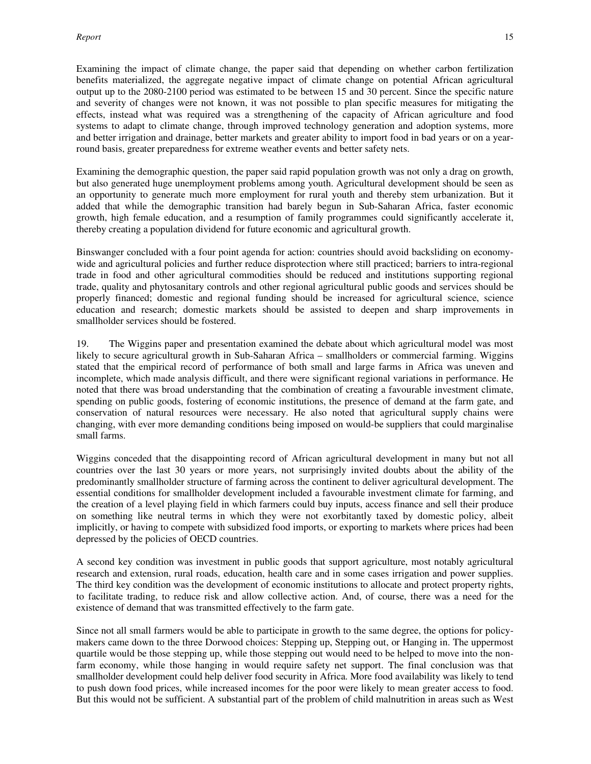Examining the impact of climate change, the paper said that depending on whether carbon fertilization benefits materialized, the aggregate negative impact of climate change on potential African agricultural output up to the 2080-2100 period was estimated to be between 15 and 30 percent. Since the specific nature and severity of changes were not known, it was not possible to plan specific measures for mitigating the effects, instead what was required was a strengthening of the capacity of African agriculture and food systems to adapt to climate change, through improved technology generation and adoption systems, more and better irrigation and drainage, better markets and greater ability to import food in bad years or on a yearround basis, greater preparedness for extreme weather events and better safety nets.

Examining the demographic question, the paper said rapid population growth was not only a drag on growth, but also generated huge unemployment problems among youth. Agricultural development should be seen as an opportunity to generate much more employment for rural youth and thereby stem urbanization. But it added that while the demographic transition had barely begun in Sub-Saharan Africa, faster economic growth, high female education, and a resumption of family programmes could significantly accelerate it, thereby creating a population dividend for future economic and agricultural growth.

Binswanger concluded with a four point agenda for action: countries should avoid backsliding on economywide and agricultural policies and further reduce disprotection where still practiced; barriers to intra-regional trade in food and other agricultural commodities should be reduced and institutions supporting regional trade, quality and phytosanitary controls and other regional agricultural public goods and services should be properly financed; domestic and regional funding should be increased for agricultural science, science education and research; domestic markets should be assisted to deepen and sharp improvements in smallholder services should be fostered.

19. The Wiggins paper and presentation examined the debate about which agricultural model was most likely to secure agricultural growth in Sub-Saharan Africa – smallholders or commercial farming. Wiggins stated that the empirical record of performance of both small and large farms in Africa was uneven and incomplete, which made analysis difficult, and there were significant regional variations in performance. He noted that there was broad understanding that the combination of creating a favourable investment climate, spending on public goods, fostering of economic institutions, the presence of demand at the farm gate, and conservation of natural resources were necessary. He also noted that agricultural supply chains were changing, with ever more demanding conditions being imposed on would-be suppliers that could marginalise small farms.

Wiggins conceded that the disappointing record of African agricultural development in many but not all countries over the last 30 years or more years, not surprisingly invited doubts about the ability of the predominantly smallholder structure of farming across the continent to deliver agricultural development. The essential conditions for smallholder development included a favourable investment climate for farming, and the creation of a level playing field in which farmers could buy inputs, access finance and sell their produce on something like neutral terms in which they were not exorbitantly taxed by domestic policy, albeit implicitly, or having to compete with subsidized food imports, or exporting to markets where prices had been depressed by the policies of OECD countries.

A second key condition was investment in public goods that support agriculture, most notably agricultural research and extension, rural roads, education, health care and in some cases irrigation and power supplies. The third key condition was the development of economic institutions to allocate and protect property rights, to facilitate trading, to reduce risk and allow collective action. And, of course, there was a need for the existence of demand that was transmitted effectively to the farm gate.

Since not all small farmers would be able to participate in growth to the same degree, the options for policymakers came down to the three Dorwood choices: Stepping up, Stepping out, or Hanging in. The uppermost quartile would be those stepping up, while those stepping out would need to be helped to move into the nonfarm economy, while those hanging in would require safety net support. The final conclusion was that smallholder development could help deliver food security in Africa. More food availability was likely to tend to push down food prices, while increased incomes for the poor were likely to mean greater access to food. But this would not be sufficient. A substantial part of the problem of child malnutrition in areas such as West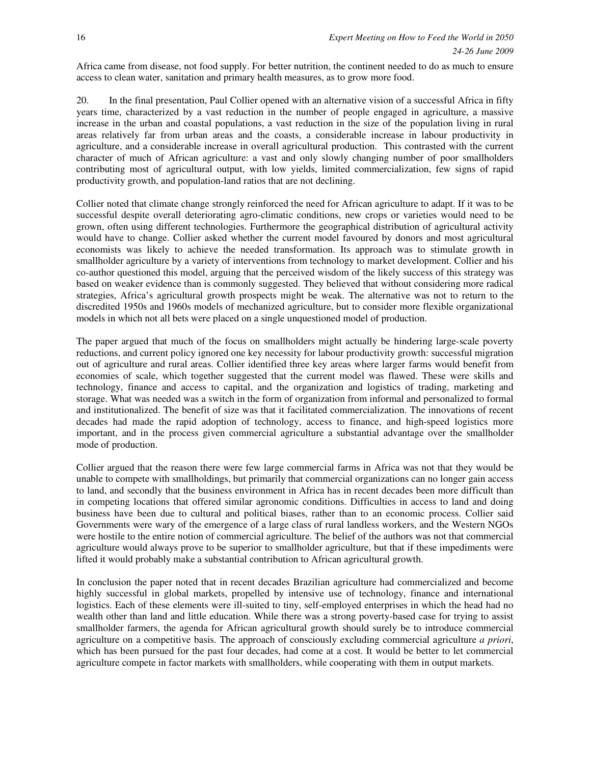Africa came from disease, not food supply. For better nutrition, the continent needed to do as much to ensure access to clean water, sanitation and primary health measures, as to grow more food.

20. In the final presentation, Paul Collier opened with an alternative vision of a successful Africa in fifty years time, characterized by a vast reduction in the number of people engaged in agriculture, a massive increase in the urban and coastal populations, a vast reduction in the size of the population living in rural areas relatively far from urban areas and the coasts, a considerable increase in labour productivity in agriculture, and a considerable increase in overall agricultural production. This contrasted with the current character of much of African agriculture: a vast and only slowly changing number of poor smallholders contributing most of agricultural output, with low yields, limited commercialization, few signs of rapid productivity growth, and population-land ratios that are not declining.

Collier noted that climate change strongly reinforced the need for African agriculture to adapt. If it was to be successful despite overall deteriorating agro-climatic conditions, new crops or varieties would need to be grown, often using different technologies. Furthermore the geographical distribution of agricultural activity would have to change. Collier asked whether the current model favoured by donors and most agricultural economists was likely to achieve the needed transformation. Its approach was to stimulate growth in smallholder agriculture by a variety of interventions from technology to market development. Collier and his co-author questioned this model, arguing that the perceived wisdom of the likely success of this strategy was based on weaker evidence than is commonly suggested. They believed that without considering more radical strategies, Africa's agricultural growth prospects might be weak. The alternative was not to return to the discredited 1950s and 1960s models of mechanized agriculture, but to consider more flexible organizational models in which not all bets were placed on a single unquestioned model of production.

The paper argued that much of the focus on smallholders might actually be hindering large-scale poverty reductions, and current policy ignored one key necessity for labour productivity growth: successful migration out of agriculture and rural areas. Collier identified three key areas where larger farms would benefit from economies of scale, which together suggested that the current model was flawed. These were skills and technology, finance and access to capital, and the organization and logistics of trading, marketing and storage. What was needed was a switch in the form of organization from informal and personalized to formal and institutionalized. The benefit of size was that it facilitated commercialization. The innovations of recent decades had made the rapid adoption of technology, access to finance, and high-speed logistics more important, and in the process given commercial agriculture a substantial advantage over the smallholder mode of production.

Collier argued that the reason there were few large commercial farms in Africa was not that they would be unable to compete with smallholdings, but primarily that commercial organizations can no longer gain access to land, and secondly that the business environment in Africa has in recent decades been more difficult than in competing locations that offered similar agronomic conditions. Difficulties in access to land and doing business have been due to cultural and political biases, rather than to an economic process. Collier said Governments were wary of the emergence of a large class of rural landless workers, and the Western NGOs were hostile to the entire notion of commercial agriculture. The belief of the authors was not that commercial agriculture would always prove to be superior to smallholder agriculture, but that if these impediments were lifted it would probably make a substantial contribution to African agricultural growth.

In conclusion the paper noted that in recent decades Brazilian agriculture had commercialized and become highly successful in global markets, propelled by intensive use of technology, finance and international logistics. Each of these elements were ill-suited to tiny, self-employed enterprises in which the head had no wealth other than land and little education. While there was a strong poverty-based case for trying to assist smallholder farmers, the agenda for African agricultural growth should surely be to introduce commercial agriculture on a competitive basis. The approach of consciously excluding commercial agriculture *a priori*, which has been pursued for the past four decades, had come at a cost. It would be better to let commercial agriculture compete in factor markets with smallholders, while cooperating with them in output markets.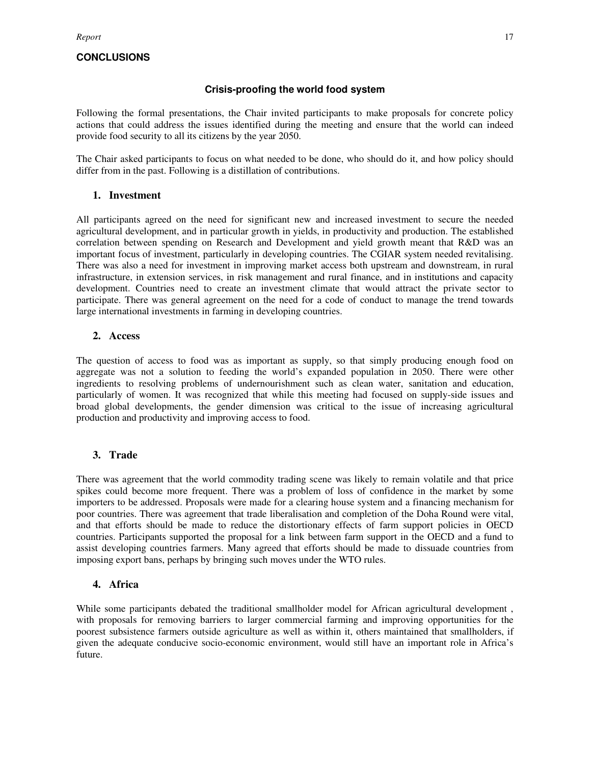## **CONCLUSIONS**

### **Crisis-proofing the world food system**

Following the formal presentations, the Chair invited participants to make proposals for concrete policy actions that could address the issues identified during the meeting and ensure that the world can indeed provide food security to all its citizens by the year 2050.

The Chair asked participants to focus on what needed to be done, who should do it, and how policy should differ from in the past. Following is a distillation of contributions.

### **1. Investment**

All participants agreed on the need for significant new and increased investment to secure the needed agricultural development, and in particular growth in yields, in productivity and production. The established correlation between spending on Research and Development and yield growth meant that R&D was an important focus of investment, particularly in developing countries. The CGIAR system needed revitalising. There was also a need for investment in improving market access both upstream and downstream, in rural infrastructure, in extension services, in risk management and rural finance, and in institutions and capacity development. Countries need to create an investment climate that would attract the private sector to participate. There was general agreement on the need for a code of conduct to manage the trend towards large international investments in farming in developing countries.

### **2. Access**

The question of access to food was as important as supply, so that simply producing enough food on aggregate was not a solution to feeding the world's expanded population in 2050. There were other ingredients to resolving problems of undernourishment such as clean water, sanitation and education, particularly of women. It was recognized that while this meeting had focused on supply-side issues and broad global developments, the gender dimension was critical to the issue of increasing agricultural production and productivity and improving access to food.

## **3. Trade**

There was agreement that the world commodity trading scene was likely to remain volatile and that price spikes could become more frequent. There was a problem of loss of confidence in the market by some importers to be addressed. Proposals were made for a clearing house system and a financing mechanism for poor countries. There was agreement that trade liberalisation and completion of the Doha Round were vital, and that efforts should be made to reduce the distortionary effects of farm support policies in OECD countries. Participants supported the proposal for a link between farm support in the OECD and a fund to assist developing countries farmers. Many agreed that efforts should be made to dissuade countries from imposing export bans, perhaps by bringing such moves under the WTO rules.

### **4. Africa**

While some participants debated the traditional smallholder model for African agricultural development , with proposals for removing barriers to larger commercial farming and improving opportunities for the poorest subsistence farmers outside agriculture as well as within it, others maintained that smallholders, if given the adequate conducive socio-economic environment, would still have an important role in Africa's future.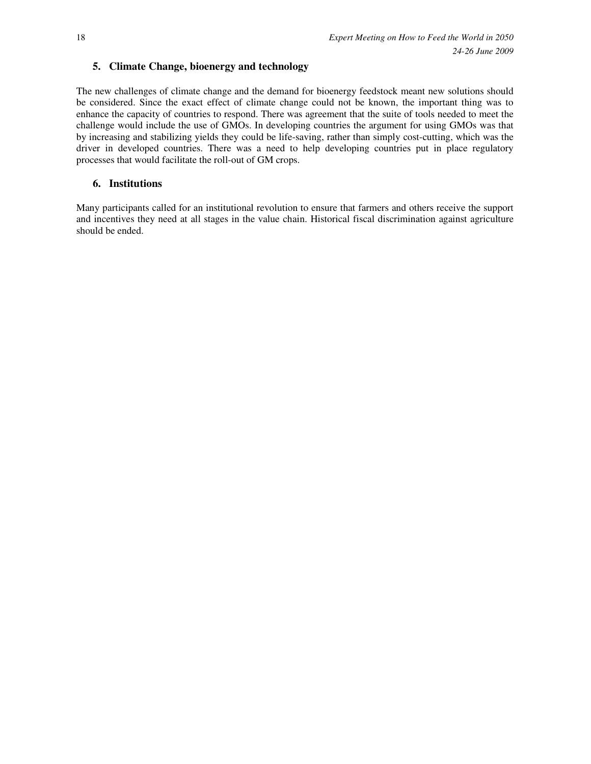## **5. Climate Change, bioenergy and technology**

The new challenges of climate change and the demand for bioenergy feedstock meant new solutions should be considered. Since the exact effect of climate change could not be known, the important thing was to enhance the capacity of countries to respond. There was agreement that the suite of tools needed to meet the challenge would include the use of GMOs. In developing countries the argument for using GMOs was that by increasing and stabilizing yields they could be life-saving, rather than simply cost-cutting, which was the driver in developed countries. There was a need to help developing countries put in place regulatory processes that would facilitate the roll-out of GM crops.

## **6. Institutions**

Many participants called for an institutional revolution to ensure that farmers and others receive the support and incentives they need at all stages in the value chain. Historical fiscal discrimination against agriculture should be ended.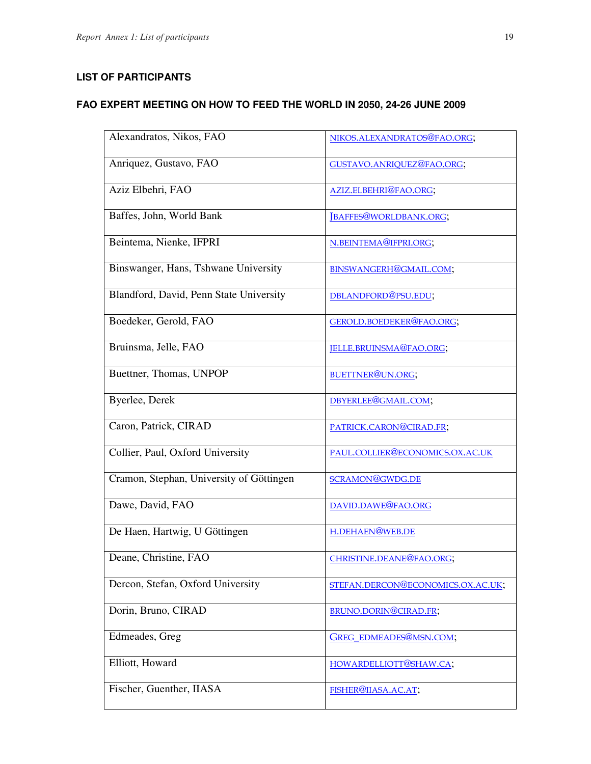# **LIST OF PARTICIPANTS**

# **FAO EXPERT MEETING ON HOW TO FEED THE WORLD IN 2050, 24-26 JUNE 2009**

| Alexandratos, Nikos, FAO                 | NIKOS.ALEXANDRATOS@FAO.ORG;       |
|------------------------------------------|-----------------------------------|
| Anriquez, Gustavo, FAO                   | GUSTAVO.ANRIQUEZ@FAO.ORG;         |
| Aziz Elbehri, FAO                        | AZIZ.ELBEHRI@FAO.ORG;             |
| Baffes, John, World Bank                 | JBAFFES@WORLDBANK.ORG;            |
| Beintema, Nienke, IFPRI                  | N.BEINTEMA@IFPRI.ORG;             |
| Binswanger, Hans, Tshwane University     | BINSWANGERH@GMAIL.COM;            |
| Blandford, David, Penn State University  | DBLANDFORD@PSU.EDU;               |
| Boedeker, Gerold, FAO                    | GEROLD.BOEDEKER@FAO.ORG;          |
| Bruinsma, Jelle, FAO                     | JELLE.BRUINSMA@FAO.ORG;           |
| Buettner, Thomas, UNPOP                  | BUETTNER@UN.ORG;                  |
| Byerlee, Derek                           | DBYERLEE@GMAIL.COM;               |
| Caron, Patrick, CIRAD                    | PATRICK.CARON@CIRAD.FR;           |
| Collier, Paul, Oxford University         | PAUL.COLLIER@ECONOMICS.OX.AC.UK   |
| Cramon, Stephan, University of Göttingen | SCRAMON@GWDG.DE                   |
| Dawe, David, FAO                         | DAVID.DAWE@FAO.ORG                |
| De Haen, Hartwig, U Göttingen            | H.DEHAEN@WEB.DE                   |
| Deane, Christine, FAO                    | CHRISTINE.DEANE@FAO.ORG;          |
| Dercon, Stefan, Oxford University        | STEFAN.DERCON@ECONOMICS.OX.AC.UK; |
| Dorin, Bruno, CIRAD                      | BRUNO.DORIN@CIRAD.FR;             |
| Edmeades, Greg                           | GREG_EDMEADES@MSN.COM;            |
| Elliott, Howard                          | HOWARDELLIOTT@SHAW.CA;            |
| Fischer, Guenther, IIASA                 | FISHER@IIASA.AC.AT;               |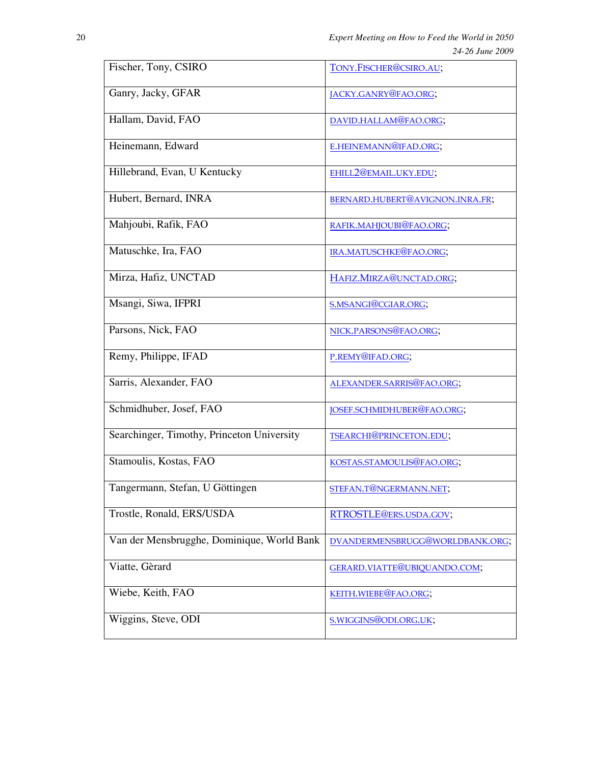| Fischer, Tony, CSIRO                       | TONY.FISCHER@CSIRO.AU;          |  |
|--------------------------------------------|---------------------------------|--|
| Ganry, Jacky, GFAR                         | JACKY.GANRY@FAO.ORG;            |  |
| Hallam, David, FAO                         | DAVID.HALLAM@FAO.ORG;           |  |
| Heinemann, Edward                          | E.HEINEMANN@IFAD.ORG;           |  |
| Hillebrand, Evan, U Kentucky               | EHILL2@EMAIL.UKY.EDU;           |  |
| Hubert, Bernard, INRA                      | BERNARD.HUBERT@AVIGNON.INRA.FR; |  |
| Mahjoubi, Rafik, FAO                       | RAFIK.MAHJOUBI@FAO.ORG;         |  |
| Matuschke, Ira, FAO                        | IRA.MATUSCHKE@FAO.ORG;          |  |
| Mirza, Hafiz, UNCTAD                       | HAFIZ.MIRZA@UNCTAD.ORG;         |  |
| Msangi, Siwa, IFPRI                        | S.MSANGI@CGIAR.ORG;             |  |
| Parsons, Nick, FAO                         | NICK.PARSONS@FAO.ORG;           |  |
| Remy, Philippe, IFAD                       | P.REMY@IFAD.ORG;                |  |
| Sarris, Alexander, FAO                     | ALEXANDER.SARRIS@FAO.ORG;       |  |
| Schmidhuber, Josef, FAO                    | JOSEF.SCHMIDHUBER@FAO.ORG;      |  |
| Searchinger, Timothy, Princeton University | TSEARCHI@PRINCETON.EDU;         |  |
| Stamoulis, Kostas, FAO                     | KOSTAS.STAMOULIS@FAO.ORG;       |  |
| Tangermann, Stefan, U Göttingen            | STEFAN.T@NGERMANN.NET;          |  |
| Trostle, Ronald, ERS/USDA                  | RTROSTLE@ERS.USDA.GOV;          |  |
| Van der Mensbrugghe, Dominique, World Bank | DVANDERMENSBRUGG@WORLDBANK.ORG; |  |
| Viatte, Gèrard                             | GERARD.VIATTE@UBIQUANDO.COM;    |  |
| Wiebe, Keith, FAO                          | KEITH.WIEBE@FAO.ORG;            |  |
| Wiggins, Steve, ODI                        | S.WIGGINS@ODI.ORG.UK;           |  |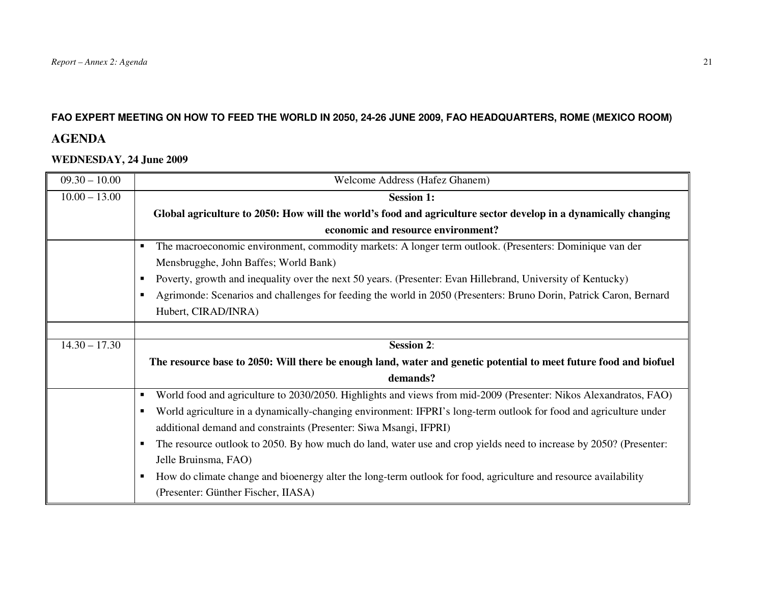# **FAO EXPERT MEETING ON HOW TO FEED THE WORLD IN 2050, 24-26 JUNE 2009, FAO HEADQUARTERS, ROME (MEXICO ROOM)**

# **AGENDA**

# **WEDNESDAY, 24 June 2009**

| $09.30 - 10.00$ | Welcome Address (Hafez Ghanem)                                                                                          |  |
|-----------------|-------------------------------------------------------------------------------------------------------------------------|--|
| $10.00 - 13.00$ | <b>Session 1:</b>                                                                                                       |  |
|                 | Global agriculture to 2050: How will the world's food and agriculture sector develop in a dynamically changing          |  |
|                 | economic and resource environment?                                                                                      |  |
|                 | The macroeconomic environment, commodity markets: A longer term outlook. (Presenters: Dominique van der<br>٠            |  |
|                 | Mensbrugghe, John Baffes; World Bank)                                                                                   |  |
|                 | Poverty, growth and inequality over the next 50 years. (Presenter: Evan Hillebrand, University of Kentucky)<br>٠        |  |
|                 | Agrimonde: Scenarios and challenges for feeding the world in 2050 (Presenters: Bruno Dorin, Patrick Caron, Bernard<br>٠ |  |
|                 | Hubert, CIRAD/INRA)                                                                                                     |  |
|                 |                                                                                                                         |  |
| $14.30 - 17.30$ | <b>Session 2:</b>                                                                                                       |  |
|                 | The resource base to 2050: Will there be enough land, water and genetic potential to meet future food and biofuel       |  |
|                 |                                                                                                                         |  |
|                 | demands?                                                                                                                |  |
|                 | World food and agriculture to 2030/2050. Highlights and views from mid-2009 (Presenter: Nikos Alexandratos, FAO)<br>٠   |  |
|                 | World agriculture in a dynamically-changing environment: IFPRI's long-term outlook for food and agriculture under<br>٠  |  |
|                 | additional demand and constraints (Presenter: Siwa Msangi, IFPRI)                                                       |  |
|                 | The resource outlook to 2050. By how much do land, water use and crop yields need to increase by 2050? (Presenter:<br>٠ |  |
|                 | Jelle Bruinsma, FAO)                                                                                                    |  |
|                 | How do climate change and bioenergy alter the long-term outlook for food, agriculture and resource availability<br>٠    |  |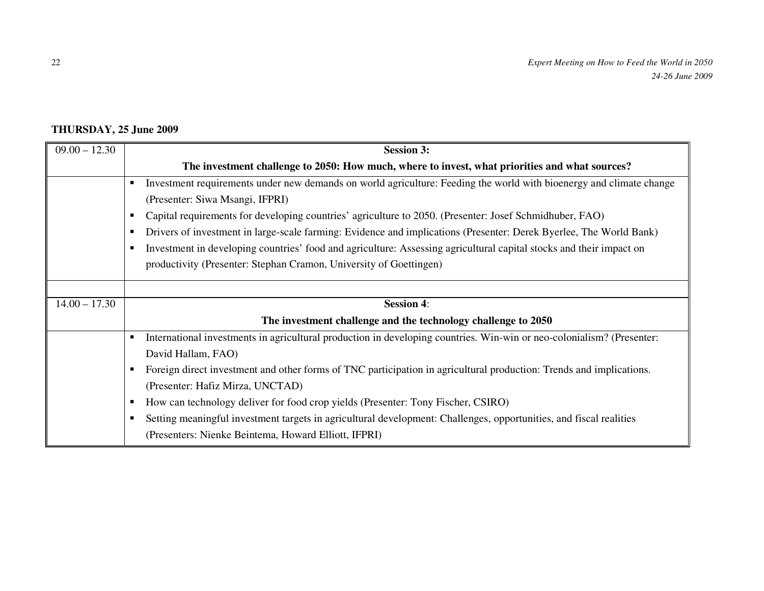# **THURSDAY, 25 June 2009**

| $09.00 - 12.30$ | <b>Session 3:</b>                                                                                                                       |  |
|-----------------|-----------------------------------------------------------------------------------------------------------------------------------------|--|
|                 | The investment challenge to 2050: How much, where to invest, what priorities and what sources?                                          |  |
|                 | Investment requirements under new demands on world agriculture: Feeding the world with bioenergy and climate change                     |  |
|                 | (Presenter: Siwa Msangi, IFPRI)                                                                                                         |  |
|                 | Capital requirements for developing countries' agriculture to 2050. (Presenter: Josef Schmidhuber, FAO)                                 |  |
|                 | Drivers of investment in large-scale farming: Evidence and implications (Presenter: Derek Byerlee, The World Bank)                      |  |
|                 | Investment in developing countries' food and agriculture: Assessing agricultural capital stocks and their impact on<br>٠                |  |
|                 | productivity (Presenter: Stephan Cramon, University of Goettingen)                                                                      |  |
|                 |                                                                                                                                         |  |
| $14.00 - 17.30$ | <b>Session 4:</b>                                                                                                                       |  |
|                 | The investment challenge and the technology challenge to 2050                                                                           |  |
|                 | International investments in agricultural production in developing countries. Win-win or neo-colonialism? (Presenter:<br>$\blacksquare$ |  |
|                 | David Hallam, FAO)                                                                                                                      |  |
|                 | Foreign direct investment and other forms of TNC participation in agricultural production: Trends and implications.                     |  |
|                 | (Presenter: Hafiz Mirza, UNCTAD)                                                                                                        |  |
|                 | How can technology deliver for food crop yields (Presenter: Tony Fischer, CSIRO)<br>٠                                                   |  |
|                 | Setting meaningful investment targets in agricultural development: Challenges, opportunities, and fiscal realities                      |  |
|                 | (Presenters: Nienke Beintema, Howard Elliott, IFPRI)                                                                                    |  |